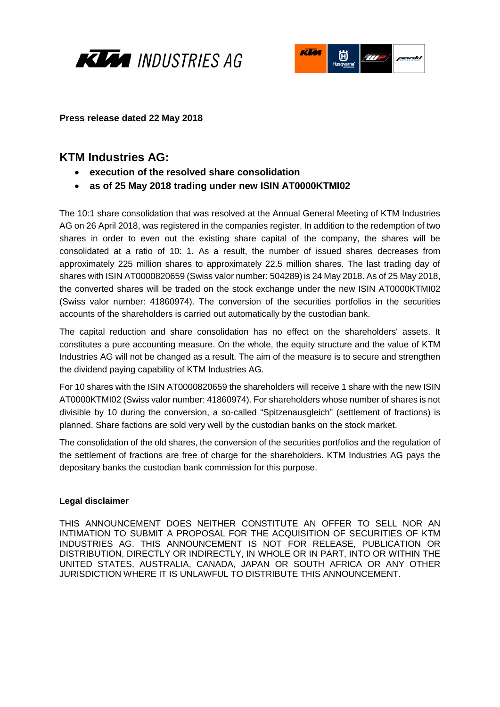



**Press release dated 22 May 2018**

## **KTM Industries AG:**

- **execution of the resolved share consolidation**
- **as of 25 May 2018 trading under new ISIN AT0000KTMI02**

The 10:1 share consolidation that was resolved at the Annual General Meeting of KTM Industries AG on 26 April 2018, was registered in the companies register. In addition to the redemption of two shares in order to even out the existing share capital of the company, the shares will be consolidated at a ratio of 10: 1. As a result, the number of issued shares decreases from approximately 225 million shares to approximately 22.5 million shares. The last trading day of shares with ISIN AT0000820659 (Swiss valor number: 504289) is 24 May 2018. As of 25 May 2018, the converted shares will be traded on the stock exchange under the new ISIN AT0000KTMI02 (Swiss valor number: 41860974). The conversion of the securities portfolios in the securities accounts of the shareholders is carried out automatically by the custodian bank.

The capital reduction and share consolidation has no effect on the shareholders' assets. It constitutes a pure accounting measure. On the whole, the equity structure and the value of KTM Industries AG will not be changed as a result. The aim of the measure is to secure and strengthen the dividend paying capability of KTM Industries AG.

For 10 shares with the ISIN AT0000820659 the shareholders will receive 1 share with the new ISIN AT0000KTMI02 (Swiss valor number: 41860974). For shareholders whose number of shares is not divisible by 10 during the conversion, a so-called "Spitzenausgleich" (settlement of fractions) is planned. Share factions are sold very well by the custodian banks on the stock market.

The consolidation of the old shares, the conversion of the securities portfolios and the regulation of the settlement of fractions are free of charge for the shareholders. KTM Industries AG pays the depositary banks the custodian bank commission for this purpose.

## **Legal disclaimer**

THIS ANNOUNCEMENT DOES NEITHER CONSTITUTE AN OFFER TO SELL NOR AN INTIMATION TO SUBMIT A PROPOSAL FOR THE ACQUISITION OF SECURITIES OF KTM INDUSTRIES AG. THIS ANNOUNCEMENT IS NOT FOR RELEASE, PUBLICATION OR DISTRIBUTION, DIRECTLY OR INDIRECTLY, IN WHOLE OR IN PART, INTO OR WITHIN THE UNITED STATES, AUSTRALIA, CANADA, JAPAN OR SOUTH AFRICA OR ANY OTHER JURISDICTION WHERE IT IS UNLAWFUL TO DISTRIBUTE THIS ANNOUNCEMENT.